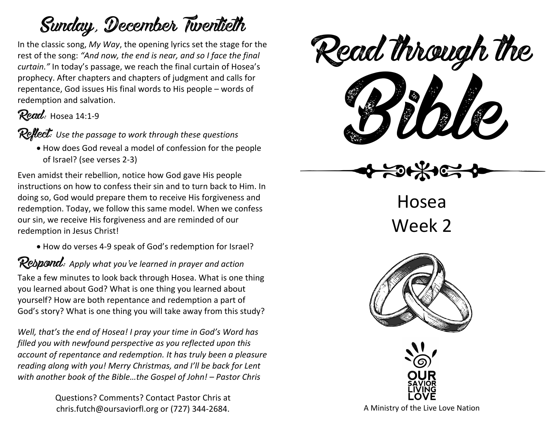## Sunday, December Twentieth

In the classic song, *My Way*, the opening lyrics set the stage for the rest of the song: *"And now, the end is near, and so I face the final curtain."* In today's passage, we reach the final curtain of Hosea's prophecy. After chapters and chapters of judgment and calls for repentance, God issues His final words to His people – words of redemption and salvation.

### Read: Hosea 14:1-9

Reflect: *Use the passage to work through these questions*

• How does God reveal a model of confession for the people of Israel? (see verses 2-3)

Even amidst their rebellion, notice how God gave His people instructions on how to confess their sin and to turn back to Him. In doing so, God would prepare them to receive His forgiveness and redemption. Today, we follow this same model. When we confess our sin, we receive His forgiveness and are reminded of our redemption in Jesus Christ!

• How do verses 4-9 speak of God's redemption for Israel?

Respond: *Apply what you've learned in prayer and action* Take a few minutes to look back through Hosea. What is one thing you learned about God? What is one thing you learned about yourself? How are both repentance and redemption a part of God's story? What is one thing you will take away from this study?

*Well, that's the end of Hosea! I pray your time in God's Word has filled you with newfound perspective as you reflected upon this account of repentance and redemption. It has truly been a pleasure reading along with you! Merry Christmas, and I'll be back for Lent with another book of the Bible…the Gospel of John! – Pastor Chris* 

> Questions? Comments? Contact Pastor Chris at chris.futch@oursaviorfl.org or (727) 344-2684.



Hosea Week 2





A Ministry of the Live Love Nation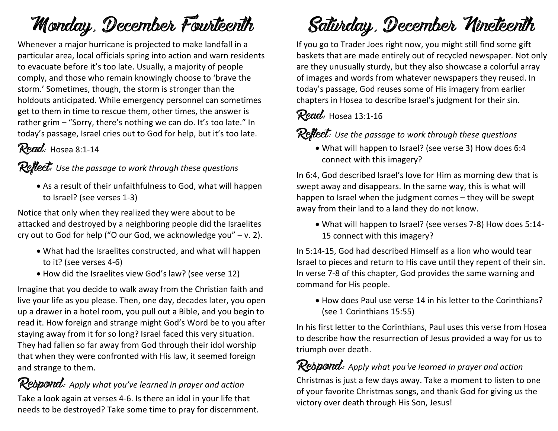## Monday, December Fourteenth

Whenever a major hurricane is projected to make landfall in a particular area, local officials spring into action and warn residents to evacuate before it's too late. Usually, a majority of people comply, and those who remain knowingly choose to 'brave the storm.' Sometimes, though, the storm is stronger than the holdouts anticipated. While emergency personnel can sometimes get to them in time to rescue them, other times, the answer is rather grim – "Sorry, there's nothing we can do. It's too late." In today's passage, Israel cries out to God for help, but it's too late.

Read: Hosea 8:1-14

#### Reflect: *Use the passage to work through these questions*

• As a result of their unfaithfulness to God, what will happen to Israel? (see verses 1-3)

Notice that only when they realized they were about to be attacked and destroyed by a neighboring people did the Israelites cry out to God for help ("O our God, we acknowledge you" – v. 2).

- What had the Israelites constructed, and what will happen to it? (see verses 4-6)
- How did the Israelites view God's law? (see verse 12)

Imagine that you decide to walk away from the Christian faith and live your life as you please. Then, one day, decades later, you open up a drawer in a hotel room, you pull out a Bible, and you begin to read it. How foreign and strange might God's Word be to you after staying away from it for so long? Israel faced this very situation. They had fallen so far away from God through their idol worship that when they were confronted with His law, it seemed foreign and strange to them.

Respond: *Apply what you've learned in prayer and action* Take a look again at verses 4-6. Is there an idol in your life that needs to be destroyed? Take some time to pray for discernment.

## Saturday, December Nineteenth

If you go to Trader Joes right now, you might still find some gift baskets that are made entirely out of recycled newspaper. Not only are they unusually sturdy, but they also showcase a colorful array of images and words from whatever newspapers they reused. In today's passage, God reuses some of His imagery from earlier chapters in Hosea to describe Israel's judgment for their sin.

### Read: Hosea 13:1-16

Reflect: *Use the passage to work through these questions*

• What will happen to Israel? (see verse 3) How does 6:4 connect with this imagery?

In 6:4, God described Israel's love for Him as morning dew that is swept away and disappears. In the same way, this is what will happen to Israel when the judgment comes – they will be swept away from their land to a land they do not know.

• What will happen to Israel? (see verses 7-8) How does 5:14- 15 connect with this imagery?

In 5:14-15, God had described Himself as a lion who would tear Israel to pieces and return to His cave until they repent of their sin. In verse 7-8 of this chapter, God provides the same warning and command for His people.

• How does Paul use verse 14 in his letter to the Corinthians? (see 1 Corinthians 15:55)

In his first letter to the Corinthians, Paul uses this verse from Hosea to describe how the resurrection of Jesus provided a way for us to triumph over death.

### Respond: *Apply what you've learned in prayer and action*

Christmas is just a few days away. Take a moment to listen to one of your favorite Christmas songs, and thank God for giving us the victory over death through His Son, Jesus!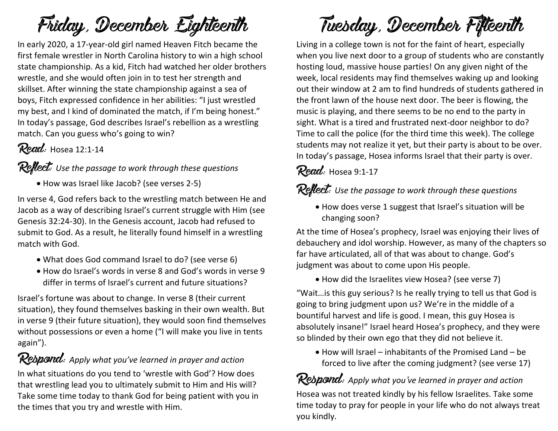# Friday, December Eighteenth

In early 2020, a 17-year-old girl named Heaven Fitch became the first female wrestler in North Carolina history to win a high school state championship. As a kid, Fitch had watched her older brothers wrestle, and she would often join in to test her strength and skillset. After winning the state championship against a sea of boys, Fitch expressed confidence in her abilities: "I just wrestled my best, and I kind of dominated the match, if I'm being honest." In today's passage, God describes Israel's rebellion as a wrestling match. Can you guess who's going to win?

#### Read: Hosea 12:1-14

#### Reflect: *Use the passage to work through these questions*

• How was Israel like Jacob? (see verses 2-5)

In verse 4, God refers back to the wrestling match between He and Jacob as a way of describing Israel's current struggle with Him (see Genesis 32:24-30). In the Genesis account, Jacob had refused to submit to God. As a result, he literally found himself in a wrestling match with God.

- What does God command Israel to do? (see verse 6)
- How do Israel's words in verse 8 and God's words in verse 9 differ in terms of Israel's current and future situations?

Israel's fortune was about to change. In verse 8 (their current situation), they found themselves basking in their own wealth. But in verse 9 (their future situation), they would soon find themselves without possessions or even a home ("I will make you live in tents again").

### Respond: *Apply what you've learned in prayer and action*

In what situations do you tend to 'wrestle with God'? How does that wrestling lead you to ultimately submit to Him and His will? Take some time today to thank God for being patient with you in the times that you try and wrestle with Him.

Tuesday, December Fifteenth

Living in a college town is not for the faint of heart, especially when you live next door to a group of students who are constantly hosting loud, massive house parties! On any given night of the week, local residents may find themselves waking up and looking out their window at 2 am to find hundreds of students gathered in the front lawn of the house next door. The beer is flowing, the music is playing, and there seems to be no end to the party in sight. What is a tired and frustrated next-door neighbor to do? Time to call the police (for the third time this week). The college students may not realize it yet, but their party is about to be over. In today's passage, Hosea informs Israel that their party is over.

## Read: Hosea 9:1-17

#### Reflect: Use the passage to work through these questions

• How does verse 1 suggest that Israel's situation will be changing soon?

At the time of Hosea's prophecy, Israel was enjoying their lives of debauchery and idol worship. However, as many of the chapters so far have articulated, all of that was about to change. God's judgment was about to come upon His people.

• How did the Israelites view Hosea? (see verse 7)

"Wait…is this guy serious? Is he really trying to tell us that God is going to bring judgment upon us? We're in the middle of a bountiful harvest and life is good. I mean, this guy Hosea is absolutely insane!" Israel heard Hosea's prophecy, and they were so blinded by their own ego that they did not believe it.

• How will Israel – inhabitants of the Promised Land – be forced to live after the coming judgment? (see verse 17)

## Respond: *Apply what you've learned in prayer and action*

Hosea was not treated kindly by his fellow Israelites. Take some time today to pray for people in your life who do not always treat you kindly.